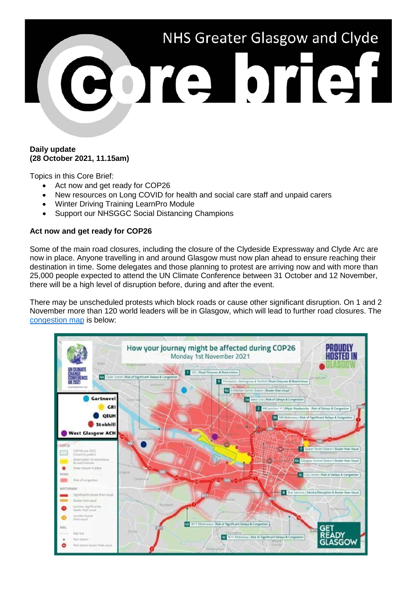

## **Daily update (28 October 2021, 11.15am)**

Topics in this Core Brief:

- Act now and get ready for COP26
- New resources on Long COVID for health and social care staff and unpaid carers
- Winter Driving Training LearnPro Module
- Support our NHSGGC Social Distancing Champions

# **Act now and get ready for COP26**

Some of the main road closures, including the closure of the Clydeside Expressway and Clyde Arc are now in place. Anyone travelling in and around Glasgow must now plan ahead to ensure reaching their destination in time. Some delegates and those planning to protest are arriving now and with more than 25,000 people expected to attend the UN Climate Conference between 31 October and 12 November, there will be a high level of disruption before, during and after the event.

There may be unscheduled protests which block roads or cause other significant disruption. On 1 and 2 November more than 120 world leaders will be in Glasgow, which will lead to further road closures. The [congestion map](https://www.nhsggc.org.uk/about-us/cop26-conference/staff-information/) is below:

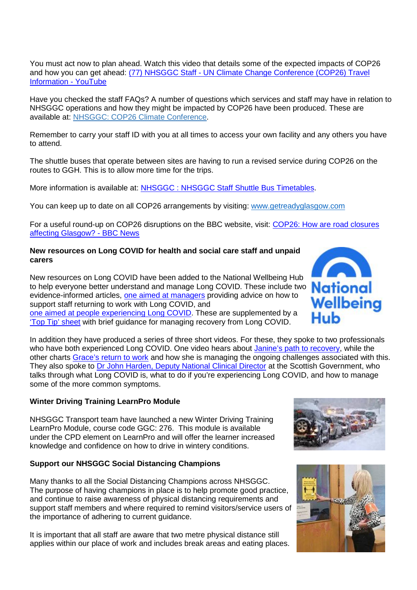You must act now to plan ahead. Watch this video that details some of the expected impacts of COP26 and how you can get ahead: (77) NHSGGC Staff - [UN Climate Change Conference \(COP26\) Travel](https://www.youtube.com/watch?v=XshPABt9qlE&t=4s)  [Information -](https://www.youtube.com/watch?v=XshPABt9qlE&t=4s) YouTube

Have you checked the staff FAQs? A number of questions which services and staff may have in relation to NHSGGC operations and how they might be impacted by COP26 have been produced. These are available at: [NHSGGC: COP26 Climate Conference.](https://www.nhsggc.org.uk/about-us/cop26-conference/staff-information/)

Remember to carry your staff ID with you at all times to access your own facility and any others you have to attend.

The shuttle buses that operate between sites are having to run a revised service during COP26 on the routes to GGH. This is to allow more time for the trips.

More information is available at: [NHSGGC : NHSGGC Staff Shuttle Bus Timetables.](https://www.nhsggc.org.uk/working-with-us/staff-communications/staff-benefits-services-travel/travel/staff-shuttle-bus/)

You can keep up to date on all COP26 arrangements by visiting: [www.getreadyglasgow.com](http://www.getreadyglasgow.com/)

For a useful round-up on COP26 disruptions on the BBC website, visit: [COP26: How are road closures](https://www.bbc.co.uk/news/uk-scotland-58809709)  [affecting Glasgow? -](https://www.bbc.co.uk/news/uk-scotland-58809709) BBC News

# **New resources on Long COVID for health and social care staff and unpaid carers**

New resources on Long COVID have been added to the National Wellbeing Hub to help everyone better understand and manage Long COVID. These include two **National** evidence-informed articles, [one aimed at managers](https://wellbeinghub.scot/resource/supporting-staff-experiencing-long-covid-information-for-managers/) providing advice on how to support staff returning to work with Long COVID. and [one aimed at people experiencing Long COVID.](https://wellbeinghub.scot/resource/long-covid/) These are supplemented by a ['Top Tip' sheet](https://wellbeinghub.scot/resource/tips-for-managing-long-covid/) with brief guidance for managing recovery from Long COVID.

In addition they have produced a series of three short videos. For these, they spoke to two professionals who have both experienced Long COVID. One video hears about [Janine's path to recovery,](https://wellbeinghub.scot/resource/path-to-recovery-janines-story/) while the other charts [Grace's return to work](https://wellbeinghub.scot/resource/long-covid-graces-journey/) and how she is managing the ongoing challenges associated with this. They also spoke to [Dr John Harden, Deputy National Clinical Director](https://wellbeinghub.scot/resource/dr-john-harden-long-covid-explained/) at the Scottish Government, who talks through what Long COVID is, what to do if you're experiencing Long COVID, and how to manage some of the more common symptoms.

# **Winter Driving Training LearnPro Module**

NHSGGC Transport team have launched a new Winter Driving Training LearnPro Module, course code GGC: 276. This module is available under the CPD element on LearnPro and will offer the learner increased knowledge and confidence on how to drive in wintery conditions.

# **Support our NHSGGC Social Distancing Champions**

Many thanks to all the Social Distancing Champions across NHSGGC. The purpose of having champions in place is to help promote good practice, and continue to raise awareness of physical distancing requirements and support staff members and where required to remind visitors/service users of the importance of adhering to current guidance.

It is important that all staff are aware that two metre physical distance still applies within our place of work and includes break areas and eating places.